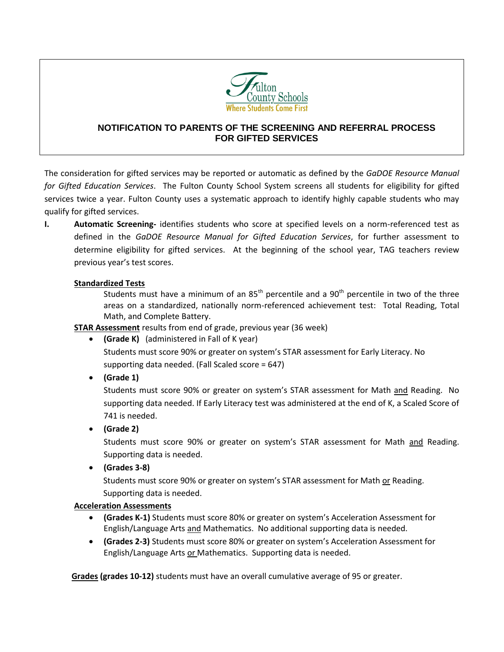

## **NOTIFICATION TO PARENTS OF THE SCREENING AND REFERRAL PROCESS FOR GIFTED SERVICES**

The consideration for gifted services may be reported or automatic as defined by the *GaDOE Resource Manual for Gifted Education Services*. The Fulton County School System screens all students for eligibility for gifted services twice a year. Fulton County uses a systematic approach to identify highly capable students who may qualify for gifted services.

**I.** Automatic Screening-identifies students who score at specified levels on a norm-referenced test as defined in the *GaDOE Resource Manual for Gifted Education Services*, for further assessment to determine eligibility for gifted services. At the beginning of the school year, TAG teachers review previous year's test scores.

## **Standardized Tests**

Students must have a minimum of an  $85<sup>th</sup>$  percentile and a  $90<sup>th</sup>$  percentile in two of the three areas on a standardized, nationally norm-referenced achievement test: Total Reading, Total Math, and Complete Battery.

**STAR Assessment** results from end of grade, previous year (36 week)

- **(Grade K)** (administered in Fall of K year) Students must score 90% or greater on system's STAR assessment for Early Literacy. No supporting data needed. (Fall Scaled score = 647)
- **(Grade 1)**

Students must score 90% or greater on system's STAR assessment for Math and Reading. No supporting data needed. If Early Literacy test was administered at the end of K, a Scaled Score of 741 is needed.

**(Grade 2)**

Students must score 90% or greater on system's STAR assessment for Math and Reading. Supporting data is needed.

**(Grades 3-8)**

 Students must score 90% or greater on system's STAR assessment for Math or Reading. Supporting data is needed.

## **Acceleration Assessments**

- **(Grades K-1)** Students must score 80% or greater on system's Acceleration Assessment for English/Language Arts and Mathematics. No additional supporting data is needed.
- **(Grades 2-3)** Students must score 80% or greater on system's Acceleration Assessment for English/Language Arts or Mathematics. Supporting data is needed.

 **Grades (grades 10-12)** students must have an overall cumulative average of 95 or greater.